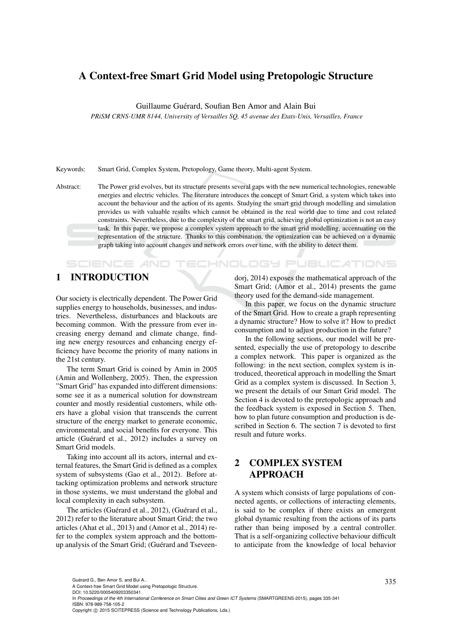# A Context-free Smart Grid Model using Pretopologic Structure

Guillaume Guérard, Soufian Ben Amor and Alain Bui

*PRiSM CRNS-UMR 8144, University of Versailles SQ, 45 avenue des Etats-Unis, Versailles, France*

Keywords: Smart Grid, Complex System, Pretopology, Game theory, Multi-agent System.

Abstract: The Power grid evolves, but its structure presents several gaps with the new numerical technologies, renewable energies and electric vehicles. The literature introduces the concept of Smart Grid, a system which takes into account the behaviour and the action of its agents. Studying the smart grid through modelling and simulation provides us with valuable results which cannot be obtained in the real world due to time and cost related constraints. Nevertheless, due to the complexity of the smart grid, achieving global optimization is not an easy task. In this paper, we propose a complex system approach to the smart grid modelling, accentuating on the representation of the structure. Thanks to this combination, the optimization can be achieved on a dynamic graph taking into account changes and network errors over time, with the ability to detect them.

# 1 INTRODUCTION

**SCIENCE AND** 

Our society is electrically dependent. The Power Grid supplies energy to households, businesses, and industries. Nevertheless, disturbances and blackouts are becoming common. With the pressure from ever increasing energy demand and climate change, finding new energy resources and enhancing energy efficiency have become the priority of many nations in the 21st century.

The term Smart Grid is coined by Amin in 2005 (Amin and Wollenberg, 2005). Then, the expression "Smart Grid" has expanded into different dimensions: some see it as a numerical solution for downstream counter and mostly residential customers, while others have a global vision that transcends the current structure of the energy market to generate economic, environmental, and social benefits for everyone. This article (Guérard et al., 2012) includes a survey on Smart Grid models.

Taking into account all its actors, internal and external features, the Smart Grid is defined as a complex system of subsystems (Gao et al., 2012). Before attacking optimization problems and network structure in those systems, we must understand the global and local complexity in each subsystem.

The articles (Guérard et al., 2012), (Guérard et al., 2012) refer to the literature about Smart Grid; the two articles (Ahat et al., 2013) and (Amor et al., 2014) refer to the complex system approach and the bottomup analysis of the Smart Grid; (Guérard and Tseveendorj, 2014) exposes the mathematical approach of the Smart Grid; (Amor et al., 2014) presents the game theory used for the demand-side management.

**ECHNOLOGY PUBLICATIONS** 

In this paper, we focus on the dynamic structure of the Smart Grid. How to create a graph representing a dynamic structure? How to solve it? How to predict consumption and to adjust production in the future?

In the following sections, our model will be presented, especially the use of pretopology to describe a complex network. This paper is organized as the following: in the next section, complex system is introduced, theoretical approach in modelling the Smart Grid as a complex system is discussed. In Section 3, we present the details of our Smart Grid model. The Section 4 is devoted to the pretopologic approach and the feedback system is exposed in Section 5. Then, how to plan future consumption and production is described in Section 6. The section 7 is devoted to first result and future works.

# 2 COMPLEX SYSTEM APPROACH

A system which consists of large populations of connected agents, or collections of interacting elements, is said to be complex if there exists an emergent global dynamic resulting from the actions of its parts rather than being imposed by a central controller. That is a self-organizing collective behaviour difficult to anticipate from the knowledge of local behavior

In *Proceedings of the 4th International Conference on Smart Cities and Green ICT Systems* (SMARTGREENS-2015), pages 335-341 ISBN: 978-989-758-105-2

Guérard G., Ben Amor S. and Bui A..<br>A Context-free Smart Grid Model using Pretopologic Structure.

DOI: 10.5220/0005409203350341

Copyright © 2015 SCITEPRESS (Science and Technology Publications, Lda.)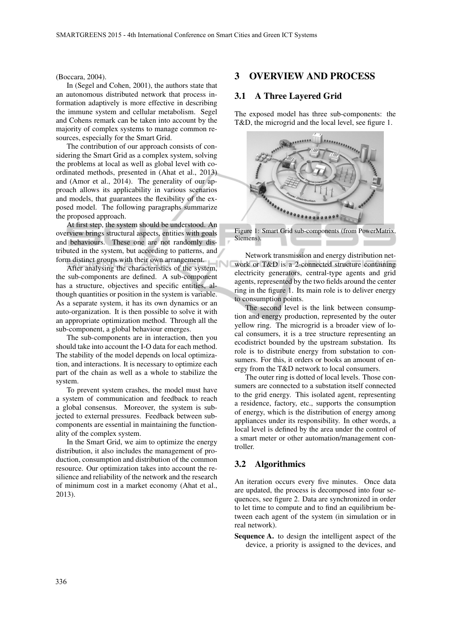#### (Boccara, 2004).

In (Segel and Cohen, 2001), the authors state that an autonomous distributed network that process information adaptively is more effective in describing the immune system and cellular metabolism. Segel and Cohens remark can be taken into account by the majority of complex systems to manage common resources, especially for the Smart Grid.

The contribution of our approach consists of considering the Smart Grid as a complex system, solving the problems at local as well as global level with coordinated methods, presented in (Ahat et al., 2013) and (Amor et al., 2014). The generality of our approach allows its applicability in various scenarios and models, that guarantees the flexibility of the exposed model. The following paragraphs summarize the proposed approach.

At first step, the system should be understood. An overview brings structural aspects, entities with goals and behaviours. These one are not randomly distributed in the system, but according to patterns, and form distinct groups with their own arrangement.

After analysing the characteristics of the system, the sub-components are defined. A sub-component has a structure, objectives and specific entities, although quantities or position in the system is variable. As a separate system, it has its own dynamics or an auto-organization. It is then possible to solve it with an appropriate optimization method. Through all the sub-component, a global behaviour emerges.

The sub-components are in interaction, then you should take into account the I-O data for each method. The stability of the model depends on local optimization, and interactions. It is necessary to optimize each part of the chain as well as a whole to stabilize the system.

To prevent system crashes, the model must have a system of communication and feedback to reach a global consensus. Moreover, the system is subjected to external pressures. Feedback between subcomponents are essential in maintaining the functionality of the complex system.

In the Smart Grid, we aim to optimize the energy distribution, it also includes the management of production, consumption and distribution of the common resource. Our optimization takes into account the resilience and reliability of the network and the research of minimum cost in a market economy (Ahat et al., 2013).

### 3 OVERVIEW AND PROCESS

### 3.1 A Three Layered Grid

The exposed model has three sub-components: the T&D, the microgrid and the local level, see figure 1.



Figure 1: Smart Grid sub-components (from PowerMatrix, Siemens).

Network transmission and energy distribution network or T&D is a 2-connected structure containing electricity generators, central-type agents and grid agents, represented by the two fields around the center ring in the figure 1. Its main role is to deliver energy to consumption points.

The second level is the link between consumption and energy production, represented by the outer yellow ring. The microgrid is a broader view of local consumers, it is a tree structure representing an ecodistrict bounded by the upstream substation. Its role is to distribute energy from substation to consumers. For this, it orders or books an amount of energy from the T&D network to local consumers.

The outer ring is dotted of local levels. Those consumers are connected to a substation itself connected to the grid energy. This isolated agent, representing a residence, factory, etc., supports the consumption of energy, which is the distribution of energy among appliances under its responsibility. In other words, a local level is defined by the area under the control of a smart meter or other automation/management controller.

#### 3.2 Algorithmics

An iteration occurs every five minutes. Once data are updated, the process is decomposed into four sequences, see figure 2. Data are synchronized in order to let time to compute and to find an equilibrium between each agent of the system (in simulation or in real network).

Sequence A. to design the intelligent aspect of the device, a priority is assigned to the devices, and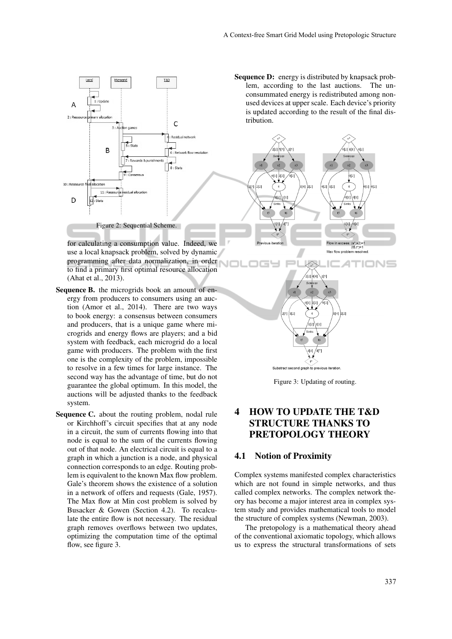

for calculating a consumption value. Indeed, we use a local knapsack problem, solved by dynamic programming after data normalization, in order to find a primary first optimal resource allocation (Ahat et al., 2013).

- Sequence B. the microgrids book an amount of energy from producers to consumers using an auction (Amor et al., 2014). There are two ways to book energy: a consensus between consumers and producers, that is a unique game where microgrids and energy flows are players; and a bid system with feedback, each microgrid do a local game with producers. The problem with the first one is the complexity of the problem, impossible to resolve in a few times for large instance. The second way has the advantage of time, but do not guarantee the global optimum. In this model, the auctions will be adjusted thanks to the feedback system.
- Sequence C. about the routing problem, nodal rule or Kirchhoff's circuit specifies that at any node in a circuit, the sum of currents flowing into that node is equal to the sum of the currents flowing out of that node. An electrical circuit is equal to a graph in which a junction is a node, and physical connection corresponds to an edge. Routing problem is equivalent to the known Max flow problem. Gale's theorem shows the existence of a solution in a network of offers and requests (Gale, 1957). The Max flow at Min cost problem is solved by Busacker & Gowen (Section 4.2). To recalculate the entire flow is not necessary. The residual graph removes overflows between two updates, optimizing the computation time of the optimal flow, see figure 3.

Sequence D: energy is distributed by knapsack problem, according to the last auctions. The unconsummated energy is redistributed among nonused devices at upper scale. Each device's priority is updated according to the result of the final distribution.



Substract second graph to previous iteration

Figure 3: Updating of routing.

# 4 HOW TO UPDATE THE T&D STRUCTURE THANKS TO PRETOPOLOGY THEORY

#### 4.1 Notion of Proximity

Complex systems manifested complex characteristics which are not found in simple networks, and thus called complex networks. The complex network theory has become a major interest area in complex system study and provides mathematical tools to model the structure of complex systems (Newman, 2003).

The pretopology is a mathematical theory ahead of the conventional axiomatic topology, which allows us to express the structural transformations of sets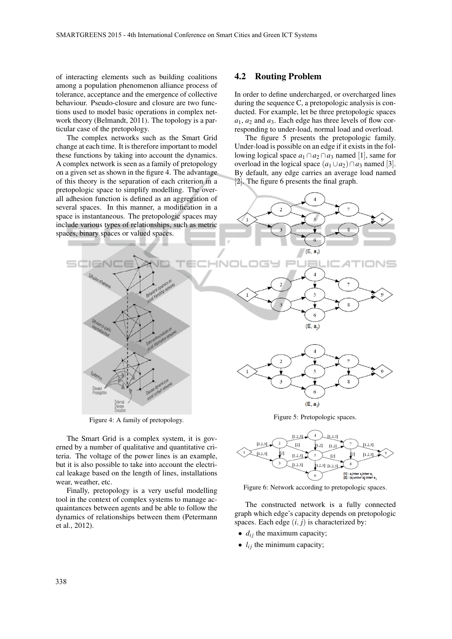of interacting elements such as building coalitions among a population phenomenon alliance process of tolerance, acceptance and the emergence of collective behaviour. Pseudo-closure and closure are two functions used to model basic operations in complex network theory (Belmandt, 2011). The topology is a particular case of the pretopology.

The complex networks such as the Smart Grid change at each time. It is therefore important to model these functions by taking into account the dynamics. A complex network is seen as a family of pretopology on a given set as shown in the figure 4. The advantage of this theory is the separation of each criterion in a pretopologic space to simplify modelling. The overall adhesion function is defined as an aggregation of several spaces. In this manner, a modification in a space is instantaneous. The pretopologic spaces may include various types of relationships, such as metric spaces, binary spaces or valued spaces.

The Smart Grid is a complex system, it is governed by a number of qualitative and quantitative criteria. The voltage of the power lines is an example, but it is also possible to take into account the electrical leakage based on the length of lines, installations

Finally, pretopology is a very useful modelling tool in the context of complex systems to manage acquaintances between agents and be able to follow the dynamics of relationships between them (Petermann

#### 4.2 Routing Problem

 $\mathcal{I}$ 

In order to define undercharged, or overcharged lines during the sequence C, a pretopologic analysis is conducted. For example, let be three pretopologic spaces *a*1, *a*<sup>2</sup> and *a*3. Each edge has three levels of flow corresponding to under-load, normal load and overload.

The figure 5 presents the pretopologic family. Under-load is possible on an edge if it exists in the following logical space  $a_1 \cap a_2 \cap a_3$  named [1], same for overload in the logical space  $(a_1 \cup a_2) \cap a_3$  named [3]. By default, any edge carries an average load named [2]. The figure 6 presents the final graph.



 $\overline{4}$  $[1,2,3]$  $[1, 2, 3]$  $[1.2.3]$  $\sqrt{2}$  $1,2]$  $[1,2]$  $\left[1,2,3\right]$  $[1,2,3]$  $[1,2,3]$  $12$  $[1,2,3]$   $[1,2,3]$  $[1,2,3]$ [1] : a<sub>i</sub>inter a inter a<br>[2] : (a union a) inter a

Figure 6: Network according to pretopologic spaces.

The constructed network is a fully connected graph which edge's capacity depends on pretopologic spaces. Each edge  $(i, j)$  is characterized by:

- $\bullet$   $d_{ij}$  the maximum capacity;
- $\bullet$   $l_{ij}$  the minimum capacity;

wear, weather, etc.

et al., 2012).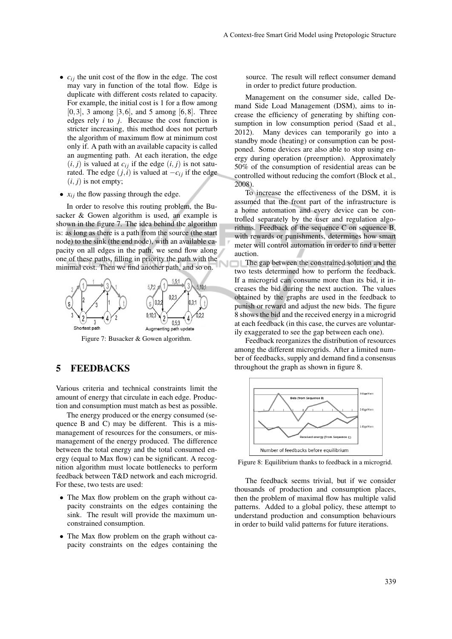- $c_{ij}$  the unit cost of the flow in the edge. The cost may vary in function of the total flow. Edge is duplicate with different costs related to capacity. For example, the initial cost is 1 for a flow among  $[0,3]$ , 3 among  $[3,6]$ , and 5 among  $[6,8]$ . Three edges rely *i* to *j*. Because the cost function is stricter increasing, this method does not perturb the algorithm of maximum flow at minimum cost only if. A path with an available capacity is called an augmenting path. At each iteration, the edge  $(i, j)$  is valued at  $c_{ij}$  if the edge  $(i, j)$  is not saturated. The edge  $(j, i)$  is valued at  $-c_{ij}$  if the edge  $(i, j)$  is not empty;
- $x_{ij}$  the flow passing through the edge.

In order to resolve this routing problem, the Busacker & Gowen algorithm is used, an example is shown in the figure 7. The idea behind the algorithm is: as long as there is a path from the source (the start node) to the sink (the end node), with an available capacity on all edges in the path, we send flow along one of these paths, filling in priority the path with the minimal cost. Then we find another path, and so on.



Figure 7: Busacker & Gowen algorithm.

### 5 FEEDBACKS

Various criteria and technical constraints limit the amount of energy that circulate in each edge. Production and consumption must match as best as possible.

The energy produced or the energy consumed (sequence B and C) may be different. This is a mismanagement of resources for the consumers, or mismanagement of the energy produced. The difference between the total energy and the total consumed energy (equal to Max flow) can be significant. A recognition algorithm must locate bottlenecks to perform feedback between T&D network and each microgrid. For these, two tests are used:

- The Max flow problem on the graph without capacity constraints on the edges containing the sink. The result will provide the maximum unconstrained consumption.
- The Max flow problem on the graph without capacity constraints on the edges containing the

source. The result will reflect consumer demand in order to predict future production.

Management on the consumer side, called Demand Side Load Management (DSM), aims to increase the efficiency of generating by shifting consumption in low consumption period (Saad et al., 2012). Many devices can temporarily go into a standby mode (heating) or consumption can be postponed. Some devices are also able to stop using energy during operation (preemption). Approximately 50% of the consumption of residential areas can be controlled without reducing the comfort (Block et al., 2008).

To increase the effectiveness of the DSM, it is assumed that the front part of the infrastructure is a home automation and every device can be controlled separately by the user and regulation algorithms. Feedback of the sequence C on sequence B, with rewards or punishments, determines how smart meter will control automation in order to find a better auction.

The gap between the constrained solution and the two tests determined how to perform the feedback. If a microgrid can consume more than its bid, it increases the bid during the next auction. The values obtained by the graphs are used in the feedback to punish or reward and adjust the new bids. The figure 8 shows the bid and the received energy in a microgrid at each feedback (in this case, the curves are voluntarily exaggerated to see the gap between each one).

Feedback reorganizes the distribution of resources among the different microgrids. After a limited number of feedbacks, supply and demand find a consensus throughout the graph as shown in figure 8.



Figure 8: Equilibrium thanks to feedback in a microgrid.

The feedback seems trivial, but if we consider thousands of production and consumption places, then the problem of maximal flow has multiple valid patterns. Added to a global policy, these attempt to understand production and consumption behaviours in order to build valid patterns for future iterations.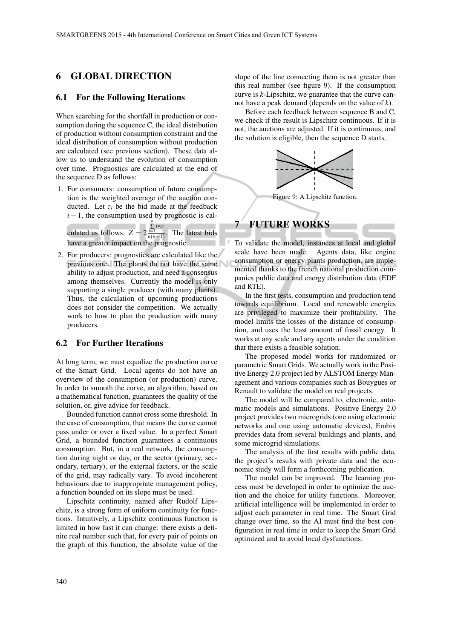# 6 GLOBAL DIRECTION

#### 6.1 For the Following Iterations

When searching for the shortfall in production or consumption during the sequence C, the ideal distribution of production without consumption constraint and the ideal distribution of consumption without production are calculated (see previous section). These data allow us to understand the evolution of consumption over time. Prognostics are calculated at the end of the sequence D as follows:

1. For consumers: consumption of future consumption is the weighted average of the auction conducted. Let  $z_i$  be the bid made at the feedback  $i - 1$ , the consumption used by prognostic is cal-

culated as follows:  $Z = 2$  $\sum_{i=1}^{n} i * z_i$  $\frac{i=1}{n(n-1)}$ . The latest bids have a greater impact on the prognostic.

2. For producers: prognostics are calculated like the previous one. The plants do not have the same ability to adjust production, and need a consensus among themselves. Currently the model is only supporting a single producer (with many plants). Thus, the calculation of upcoming productions does not consider the competition. We actually work to how to plan the production with many producers.

#### 6.2 For Further Iterations

At long term, we must equalize the production curve of the Smart Grid. Local agents do not have an overview of the consumption (or production) curve. In order to smooth the curve, an algorithm, based on a mathematical function, guarantees the quality of the solution, or, give advice for feedback.

Bounded function cannot cross some threshold. In the case of consumption, that means the curve cannot pass under or over a fixed value. In a perfect Smart Grid, a bounded function guarantees a continuous consumption. But, in a real network, the consumption during night or day, or the sector (primary, secondary, tertiary), or the external factors, or the scale of the grid, may radically vary. To avoid incoherent behaviours due to inappropriate management policy, a function bounded on its slope must be used.

Lipschitz continuity, named after Rudolf Lipschitz, is a strong form of uniform continuity for functions. Intuitively, a Lipschitz continuous function is limited in how fast it can change: there exists a definite real number such that, for every pair of points on the graph of this function, the absolute value of the

slope of the line connecting them is not greater than this real number (see figure 9). If the consumption curve is *k*-Lipschitz, we guarantee that the curve cannot have a peak demand (depends on the value of *k*).

Before each feedback between sequence B and C, we check if the result is Lipschitz continuous. If it is not, the auctions are adjusted. If it is continuous, and the solution is eligible, then the sequence D starts.



Figure 9: A Lipschitz function.



To validate the model, instances at local and global scale have been made. Agents data, like engine consumption or energy plants production, are implemented thanks to the french national production companies public data and energy distribution data (EDF and RTE).

In the first tests, consumption and production tend towards equilibrium. Local and renewable energies are privileged to maximize their profitability. The model limits the losses of the distance of consumption, and uses the least amount of fossil energy. It works at any scale and any agents under the condition that there exists a feasible solution.

The proposed model works for randomized or parametric Smart Grids. We actually work in the Positive Energy 2.0 project led by ALSTOM Energy Management and various companies such as Bouygues or Renault to validate the model on real projects.

The model will be compared to, electronic, automatic models and simulations. Positive Energy 2.0 project provides two microgrids (one using electronic networks and one using automatic devices), Embix provides data from several buildings and plants, and some microgrid simulations.

The analysis of the first results with public data, the project's results with private data and the economic study will form a forthcoming publication.

The model can be improved. The learning process must be developed in order to optimize the auction and the choice for utility functions. Moreover, artificial intelligence will be implemented in order to adjust each parameter in real time. The Smart Grid change over time, so the AI must find the best configuration in real time in order to keep the Smart Grid optimized and to avoid local dysfunctions.